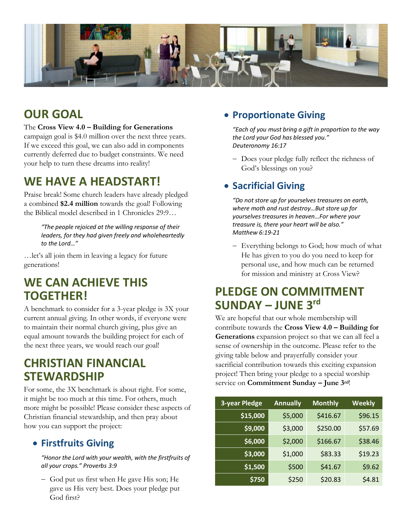

# **OUR GOAL**

### The **Cross View 4.0 – Building for Generations**

campaign goal is \$4.0 million over the next three years. If we exceed this goal, we can also add in components currently deferred due to budget constraints. We need your help to turn these dreams into reality!

## **WE HAVE A HEADSTART!**

Praise break! Some church leaders have already pledged a combined **\$2.4 million** towards the goal! Following the Biblical model described in 1 Chronicles 29:9…

> *"The people rejoiced at the willing response of their leaders, for they had given freely and wholeheartedly to the Lord…"*

…let's all join them in leaving a legacy for future generations!

# **WE CAN ACHIEVE THIS TOGETHER!**

A benchmark to consider for a 3-year pledge is 3X your current annual giving. In other words, if everyone were to maintain their normal church giving, plus give an equal amount towards the building project for each of the next three years, we would reach our goal!

## **CHRISTIAN FINANCIAL STEWARDSHIP**

For some, the 3X benchmark is about right. For some, it might be too much at this time. For others, much more might be possible! Please consider these aspects of Christian financial stewardship, and then pray about how you can support the project:

### • **Firstfruits Giving**

*"Honor the Lord with your wealth, with the firstfruits of all your crops." Proverbs 3:9*

- God put us first when He gave His son; He gave us His very best. Does your pledge put God first?

## • **Proportionate Giving**

*"Each of you must bring a gift in proportion to the way the Lord your God has blessed you." Deuteronomy 16:17*

- Does your pledge fully reflect the richness of God's blessings on you?

## • **Sacrificial Giving**

*"Do not store up for yourselves treasures on earth, where moth and rust destroy…But store up for yourselves treasures in heaven…For where your treasure is, there your heart will be also." Matthew 6:19-21*

- Everything belongs to God; how much of what He has given to you do you need to keep for personal use, and how much can be returned for mission and ministry at Cross View?

# **PLEDGE ON COMMITMENT SUNDAY – JUNE 3 rd**

We are hopeful that our whole membership will contribute towards the **Cross View 4.0 – Building for Generations** expansion project so that we can all feel a sense of ownership in the outcome. Please refer to the giving table below and prayerfully consider your sacrificial contribution towards this exciting expansion project! Then bring your pledge to a special worship service on **Commitment Sunday – June 3rd**!

| <b>3-year Pledge</b> | <b>Annually</b> | <b>Monthly</b> | <b>Weekly</b> |
|----------------------|-----------------|----------------|---------------|
| \$15,000             | \$5,000         | \$416.67       | \$96.15       |
| \$9,000              | \$3,000         | \$250.00       | \$57.69       |
| \$6,000              | \$2,000         | \$166.67       | \$38.46       |
| \$3,000              | \$1,000         | \$83.33        | \$19.23       |
| \$1,500              | \$500           | \$41.67        | \$9.62        |
| \$750                | \$250           | \$20.83        | \$4.81        |